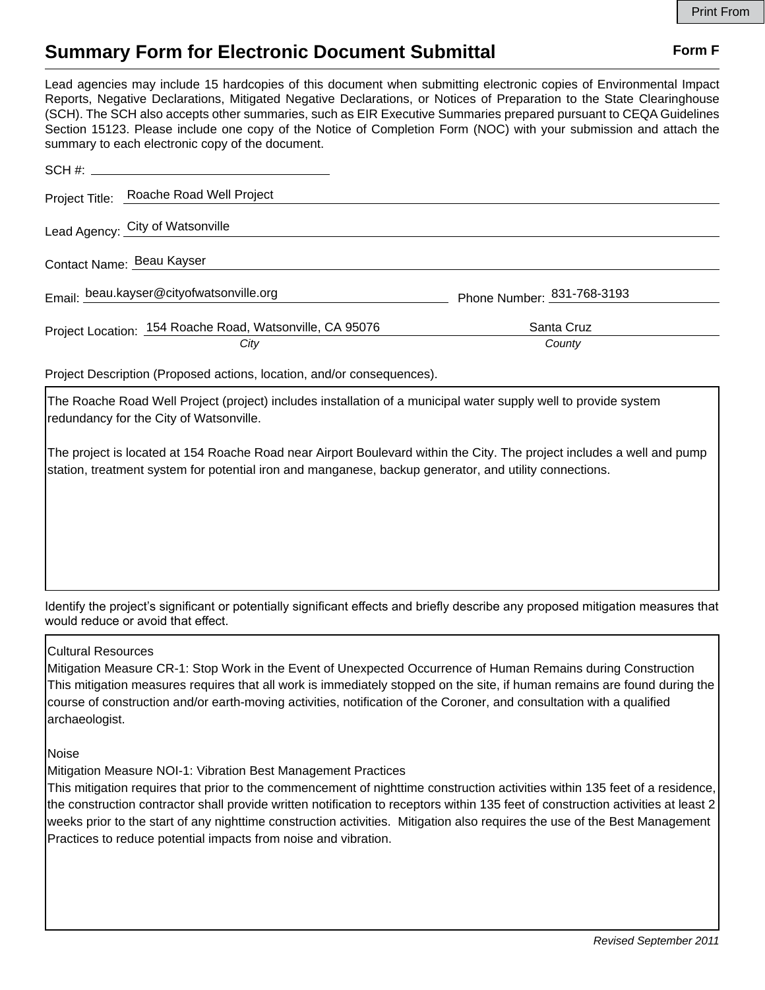## **Summary Form for Electronic Document Submittal Form F Form F**

Lead agencies may include 15 hardcopies of this document when submitting electronic copies of Environmental Impact Reports, Negative Declarations, Mitigated Negative Declarations, or Notices of Preparation to the State Clearinghouse (SCH). The SCH also accepts other summaries, such as EIR Executive Summaries prepared pursuant to CEQA Guidelines Section 15123. Please include one copy of the Notice of Completion Form (NOC) with your submission and attach the summary to each electronic copy of the document.

|                                          | Project Title: Roache Road Well Project                  |                            |
|------------------------------------------|----------------------------------------------------------|----------------------------|
|                                          | Lead Agency: City of Watsonville                         |                            |
| Contact Name: Beau Kayser                |                                                          |                            |
| Email: beau.kayser@cityofwatsonville.org |                                                          | Phone Number: 831-768-3193 |
|                                          | Project Location: 154 Roache Road, Watsonville, CA 95076 | Santa Cruz                 |
|                                          | City                                                     | County                     |
|                                          |                                                          |                            |

Project Description (Proposed actions, location, and/or consequences).

The Roache Road Well Project (project) includes installation of a municipal water supply well to provide system redundancy for the City of Watsonville.

The project is located at 154 Roache Road near Airport Boulevard within the City. The project includes a well and pump station, treatment system for potential iron and manganese, backup generator, and utility connections.

Identify the project's significant or potentially significant effects and briefly describe any proposed mitigation measures that would reduce or avoid that effect.

## Cultural Resources

Mitigation Measure CR-1: Stop Work in the Event of Unexpected Occurrence of Human Remains during Construction This mitigation measures requires that all work is immediately stopped on the site, if human remains are found during the course of construction and/or earth-moving activities, notification of the Coroner, and consultation with a qualified archaeologist.

Noise

Mitigation Measure NOI-1: Vibration Best Management Practices

This mitigation requires that prior to the commencement of nighttime construction activities within 135 feet of a residence, the construction contractor shall provide written notification to receptors within 135 feet of construction activities at least 2 weeks prior to the start of any nighttime construction activities. Mitigation also requires the use of the Best Management Practices to reduce potential impacts from noise and vibration.